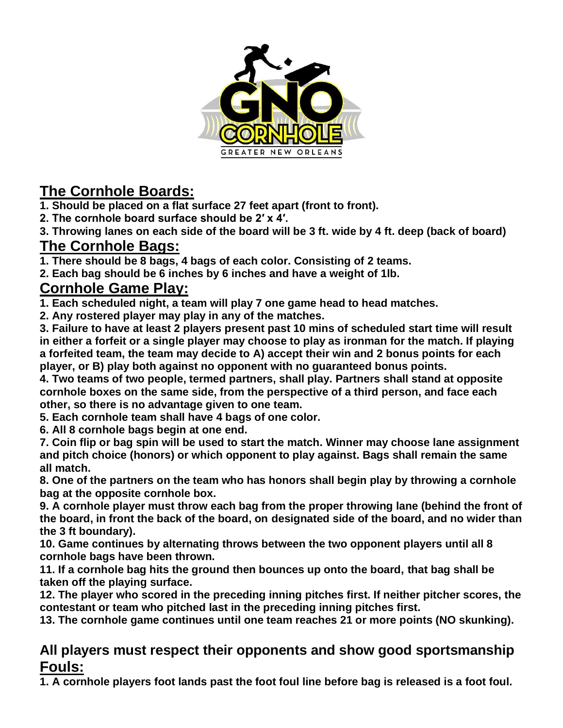

# **The Cornhole Boards:**

**1. Should be placed on a flat surface 27 feet apart (front to front).**

**2. The cornhole board surface should be 2′ x 4′.**

**3. Throwing lanes on each side of the board will be 3 ft. wide by 4 ft. deep (back of board) The Cornhole Bags:**

**1. There should be 8 bags, 4 bags of each color. Consisting of 2 teams.**

**2. Each bag should be 6 inches by 6 inches and have a weight of 1lb.**

### **Cornhole Game Play:**

**1. Each scheduled night, a team will play 7 one game head to head matches.**

**2. Any rostered player may play in any of the matches.**

**3. Failure to have at least 2 players present past 10 mins of scheduled start time will result in either a forfeit or a single player may choose to play as ironman for the match. If playing a forfeited team, the team may decide to A) accept their win and 2 bonus points for each player, or B) play both against no opponent with no guaranteed bonus points.**

**4. Two teams of two people, termed partners, shall play. Partners shall stand at opposite cornhole boxes on the same side, from the perspective of a third person, and face each other, so there is no advantage given to one team.**

**5. Each cornhole team shall have 4 bags of one color.**

**6. All 8 cornhole bags begin at one end.**

**7. Coin flip or bag spin will be used to start the match. Winner may choose lane assignment and pitch choice (honors) or which opponent to play against. Bags shall remain the same all match.**

**8. One of the partners on the team who has honors shall begin play by throwing a cornhole bag at the opposite cornhole box.**

**9. A cornhole player must throw each bag from the proper throwing lane (behind the front of the board, in front the back of the board, on designated side of the board, and no wider than the 3 ft boundary).**

**10. Game continues by alternating throws between the two opponent players until all 8 cornhole bags have been thrown.**

**11. If a cornhole bag hits the ground then bounces up onto the board, that bag shall be taken off the playing surface.**

**12. The player who scored in the preceding inning pitches first. If neither pitcher scores, the contestant or team who pitched last in the preceding inning pitches first.**

**13. The cornhole game continues until one team reaches 21 or more points (NO skunking).**

#### **All players must respect their opponents and show good sportsmanship Fouls:**

**1. A cornhole players foot lands past the foot foul line before bag is released is a foot foul.**